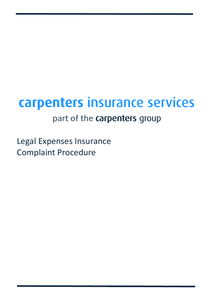# carpenters insurance services

## part of the carpenters group

Legal Expenses Insurance Complaint Procedure